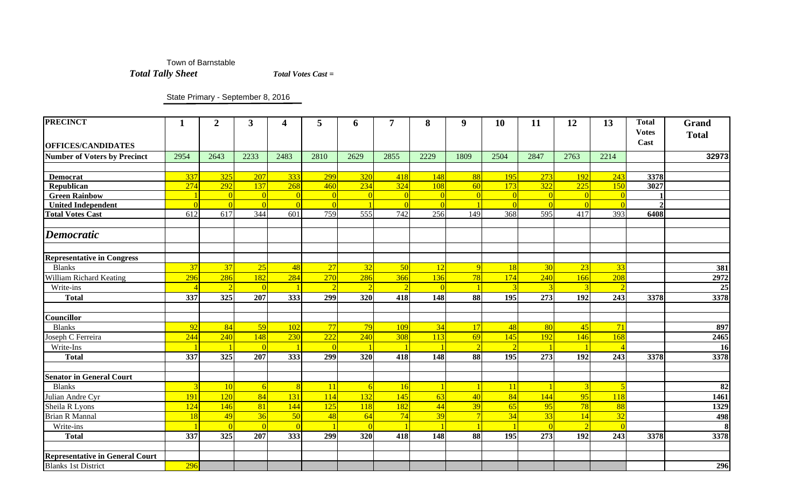Town of Barnstable  *Total Tally Sheet Total Votes Cast =*

State Primary - September 8, 2016

| <b>PRECINCT</b>                        | 1                | $\boldsymbol{2}$ | $\mathbf{3}$ | $\overline{\mathbf{4}}$ | 5              | 6    | 7                        | 8                | $\boldsymbol{9}$ | 10   | 11       | 12             | 13                       | <b>Total</b><br><b>Votes</b><br>Cast | <b>Grand</b><br><b>Total</b> |
|----------------------------------------|------------------|------------------|--------------|-------------------------|----------------|------|--------------------------|------------------|------------------|------|----------|----------------|--------------------------|--------------------------------------|------------------------------|
| <b>OFFICES/CANDIDATES</b>              |                  |                  |              |                         |                |      |                          |                  |                  |      |          |                |                          |                                      |                              |
| <b>Number of Voters by Precinct</b>    | 2954             | 2643             | 2233         | 2483                    | 2810           | 2629 | 2855                     | 2229             | 1809             | 2504 | 2847     | 2763           | 2214                     |                                      | 32973                        |
|                                        |                  |                  |              |                         |                |      |                          |                  |                  |      |          |                |                          |                                      |                              |
| <b>Democrat</b>                        | 337              | 325              | 207          | 333                     | 299            | 320  | 418                      | 148              | 88               | 195  | 273      | 192            | 243                      | 3378                                 |                              |
| <b>Republican</b>                      | 274              | 292              | 137          | 268                     | 460            | 234  | 324                      | <b>108</b>       | 60               | 173  | 322      | 225            | 150                      | 3027                                 |                              |
| <b>Green Rainbow</b>                   |                  | $\vert 0 \vert$  |              | $\Omega$                | $\Omega$       |      | $\Omega$                 | $\Omega$         |                  |      | $\Omega$ |                |                          |                                      |                              |
| <b>United Independent</b>              | $\overline{0}$   | $\overline{0}$   |              | $\Omega$                | $\overline{c}$ |      | $\Omega$                 |                  |                  |      |          |                |                          |                                      |                              |
| <b>Total Votes Cast</b>                | $\overline{612}$ | $\overline{617}$ | 344          | 601                     | 759            | 555  | 742                      | $\overline{256}$ | 149              | 368  | 595      | 417            | 393                      | 6408                                 |                              |
| <b>Democratic</b>                      |                  |                  |              |                         |                |      |                          |                  |                  |      |          |                |                          |                                      |                              |
| <b>Representative in Congress</b>      |                  |                  |              |                         |                |      |                          |                  |                  |      |          |                |                          |                                      |                              |
| <b>Blanks</b>                          | 37               | 37               | 25           | 48                      | 27             | 32   | 50                       | 12               |                  | 18   | 30       | 23             | 33                       |                                      | 381                          |
| William Richard Keating                | 296              | 286              | 182          | 284                     | 270            | 286  | 366                      | <b>136</b>       | 78               | 174  | 240      | 166            | 208                      |                                      | 2972                         |
| Write-ins                              | $\overline{A}$   | $\overline{2}$   |              |                         | $\overline{2}$ |      | $\overline{\mathcal{L}}$ | $\Omega$         |                  |      | 3        |                |                          |                                      | 25                           |
| <b>Total</b>                           | 337              | 325              | 207          | 333                     | 299            | 320  | 418                      | 148              | 88               | 195  | 273      | 192            | 243                      | 3378                                 | 3378                         |
|                                        |                  |                  |              |                         |                |      |                          |                  |                  |      |          |                |                          |                                      |                              |
| Councillor                             |                  |                  |              |                         |                |      |                          |                  |                  |      |          |                |                          |                                      |                              |
| <b>Blanks</b>                          | 92               | 84               | 59           | 102                     | 77             | 79   | 109                      | 34               | 17               | 48   | 80       | 45             | 71                       |                                      | 897                          |
| Joseph C Ferreira                      | 244              | 240              | 148          | 230                     | 222            | 240  | 308                      | 113              | 69               | 145  | 192      | 146            | 168                      |                                      | 2465                         |
| Write-Ins                              |                  |                  |              |                         | $\mathbf{C}$   |      |                          |                  |                  |      |          |                |                          |                                      | <b>16</b>                    |
| <b>Total</b>                           | 337              | 325              | 207          | 333                     | 299            | 320  | 418                      | 148              | 88               | 195  | 273      | 192            | 243                      | 3378                                 | 3378                         |
|                                        |                  |                  |              |                         |                |      |                          |                  |                  |      |          |                |                          |                                      |                              |
| <b>Senator in General Court</b>        |                  |                  |              |                         |                |      |                          |                  |                  |      |          |                |                          |                                      |                              |
| <b>Blanks</b>                          | $\overline{3}$   | 10               | 6            | 8                       | <b>11</b>      | 6    | 16                       | $\overline{1}$   |                  | 11   |          | $\overline{3}$ | $\overline{\phantom{a}}$ |                                      | 82                           |
| Julian Andre Cyr                       | 191              | 120              | 84           | 131                     | 114            | 132  | 145                      | 63               | 40               | 84   | 144      | 95             | 118                      |                                      | 1461                         |
| Sheila R Lyons                         | 124              | 146              | 81           | 144                     | 125            | 118  | 182                      | 44               | 39               | 65   | 95       | 78             | 88                       |                                      | 1329                         |
| <b>Brian R Mannal</b>                  | 18               | 49               | 36           | 50                      | 48             | 64   | 74                       | 39               |                  | 34   | 33       | 14             | 32                       |                                      | 498                          |
| Write-ins                              |                  | $\overline{0}$   |              | $\Omega$                |                |      |                          |                  |                  |      | $\Omega$ |                |                          |                                      | 8                            |
| <b>Total</b>                           | 337              | 325              | 207          | 333                     | 299            | 320  | 418                      | 148              | 88               | 195  | 273      | 192            | 243                      | 3378                                 | 3378                         |
| <b>Representative in General Court</b> |                  |                  |              |                         |                |      |                          |                  |                  |      |          |                |                          |                                      |                              |
| <b>Blanks 1st District</b>             | 296              |                  |              |                         |                |      |                          |                  |                  |      |          |                |                          |                                      | 296                          |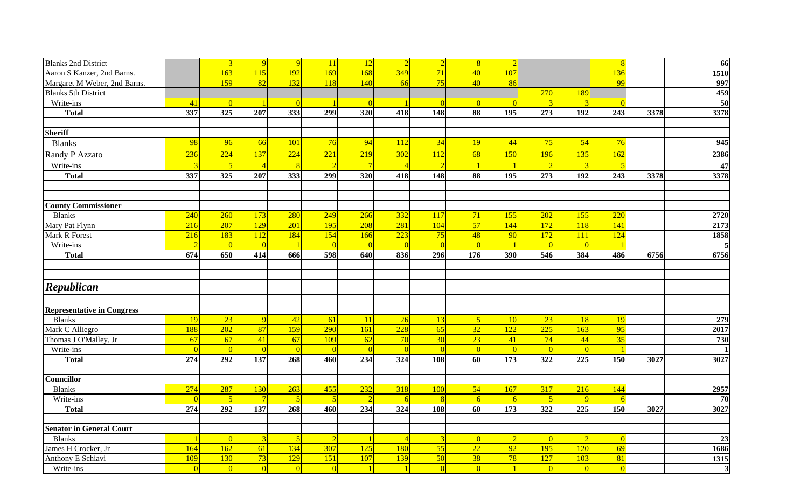| <b>Blanks 2nd District</b>        |                  | $\overline{3}$   | $\overline{Q}$  | $\overline{Q}$ | <sup>11</sup>  | 12              | $\overline{2}$  | $\overline{2}$  | 8               | $\overline{2}$   |                  |                  | $\overline{\mathbf{R}}$ |      | 66             |
|-----------------------------------|------------------|------------------|-----------------|----------------|----------------|-----------------|-----------------|-----------------|-----------------|------------------|------------------|------------------|-------------------------|------|----------------|
| Aaron S Kanzer, 2nd Barns.        |                  | 163              | 115             | 192            | 169            | 168             | 349             | 71              | 40              | 107              |                  |                  | 136                     |      | 1510           |
| Margaret M Weber, 2nd Barns.      |                  | 159              | $\overline{82}$ | 132            | 118            | 140             | 66              | 75              | 40              | 86               |                  |                  | 99                      |      | 997            |
| <b>Blanks 5th District</b>        |                  |                  |                 |                |                |                 |                 |                 |                 |                  | 270              | 189              |                         |      | 459            |
| Write-ins                         | 41               | $\overline{0}$   |                 | $\Omega$       |                | $\overline{0}$  |                 | $\overline{0}$  | $\Omega$        | $\Omega$         | ె                | ె                | $\Omega$                |      | 50             |
| <b>Total</b>                      | 337              | $\overline{325}$ | 207             | 333            | 299            | $\frac{1}{320}$ | 418             | 148             | 88              | 195              | 273              | 192              | 243                     | 3378 | 3378           |
|                                   |                  |                  |                 |                |                |                 |                 |                 |                 |                  |                  |                  |                         |      |                |
| <b>Sheriff</b>                    |                  |                  |                 |                |                |                 |                 |                 |                 |                  |                  |                  |                         |      |                |
| <b>Blanks</b>                     | 98               | 96               | 66              | 101            | 76             | 94              | <b>112</b>      | 34              | <b>19</b>       | 44               | 75               | 54               | 76                      |      | 945            |
| Randy P Azzato                    | 236              | 224              | 137             | 224            | 221            | 219             | 302             | 112             | 68              | 150              | 196              | 135              | 162                     |      | 2386           |
| Write-ins                         | $\overline{3}$   | 5                | $\overline{4}$  | 8              | $\overline{2}$ | $\overline{7}$  | $\overline{4}$  | $\overline{2}$  |                 |                  | $\overline{2}$   | $\overline{3}$   | $\overline{5}$          |      | 47             |
| <b>Total</b>                      | 337              | $325$            | 207             | 333            | 299            | 320             | 418             | 148             | 88              | 195              | 273              | 192              | 243                     | 3378 | 3378           |
|                                   |                  |                  |                 |                |                |                 |                 |                 |                 |                  |                  |                  |                         |      |                |
|                                   |                  |                  |                 |                |                |                 |                 |                 |                 |                  |                  |                  |                         |      |                |
| <b>County Commissioner</b>        |                  |                  |                 |                |                |                 |                 |                 |                 |                  |                  |                  |                         |      |                |
| <b>Blanks</b>                     | 240              | 260              | 173             | 280            | 249            | 266             | 332             | <b>117</b>      | 71              | 155              | 202              | 155              | 220                     |      | 2720           |
| Mary Pat Flynn                    | $\frac{216}{ }$  | 207              | 129             | 201            | 195            | 208             | 281             | 104             | 57              | 144              | 172              | 118              | 141                     |      | 2173           |
| Mark R Forest                     | $\overline{216}$ | 183              | 112             | 184            | 154            | 166             | 223             | 75              | 48              | 90               | 172              | 111              | 124                     |      | 1858           |
| Write-ins                         | $\overline{2}$   | $\overline{0}$   | $\Omega$        |                | $\overline{0}$ | $\Omega$        | $\Omega$        | $\vert 0 \vert$ | $\Omega$        |                  | $\overline{0}$   | $\Omega$         |                         |      | 5 <sub>l</sub> |
| <b>Total</b>                      | 674              | 650              | 414             | 666            | 598            | 640             | 836             | 296             | 176             | 390              | 546              | 384              | 486                     | 6756 | 6756           |
|                                   |                  |                  |                 |                |                |                 |                 |                 |                 |                  |                  |                  |                         |      |                |
|                                   |                  |                  |                 |                |                |                 |                 |                 |                 |                  |                  |                  |                         |      |                |
| Republican                        |                  |                  |                 |                |                |                 |                 |                 |                 |                  |                  |                  |                         |      |                |
|                                   |                  |                  |                 |                |                |                 |                 |                 |                 |                  |                  |                  |                         |      |                |
| <b>Representative in Congress</b> |                  |                  |                 |                |                |                 |                 |                 |                 |                  |                  |                  |                         |      |                |
| <b>Blanks</b>                     | 19               | $\boxed{23}$     | $\overline{Q}$  | 42             | 61             | <b>11</b>       | 26              | 13              | $\vert 5 \vert$ | <b>10</b>        | 23               | <b>18</b>        | 19                      |      | 279            |
| Mark C Alliegro                   | 188              | 202              | 87              | 159            | 290            | 161             | 228             | 65              | 32              | 122              | 225              | 163              | 95                      |      | 2017           |
| Thomas J O'Malley, Jr             | 67               | 67               | 41              | 67             | 109            | 62              | 70              | 30              | 23              | 41               | 74               | 44               | 35                      |      | 730            |
| Write-ins                         | $\overline{0}$   | $\overline{0}$   | $\overline{0}$  | $\overline{0}$ | $\overline{0}$ | $\overline{0}$  | $\overline{0}$  | $\overline{0}$  | $\Omega$        | $\overline{0}$   | $\overline{0}$   | $\overline{0}$   |                         |      |                |
| <b>Total</b>                      | 274              | 292              | 137             | 268            | 460            | 234             | $\frac{1}{324}$ | 108             | 60              | 173              | $\overline{322}$ | 225              | <b>150</b>              | 3027 | 3027           |
|                                   |                  |                  |                 |                |                |                 |                 |                 |                 |                  |                  |                  |                         |      |                |
| Councillor                        |                  |                  |                 |                |                |                 |                 |                 |                 |                  |                  |                  |                         |      |                |
| <b>Blanks</b>                     | 274              | 287              | 130             | 263            | 455            | 232             | 318             | <b>100</b>      | 54              | 167              | 317              | 216              | 144                     |      | 2957           |
| Write-ins                         | $\Omega$         | $\sqrt{5}$       | $\overline{7}$  |                | -5             | $\partial$      | 6               | $\overline{8}$  | -61             | -6               |                  | $\overline{Q}$   |                         |      | 70             |
| <b>Total</b>                      | $\overline{274}$ | 292              | 137             | 268            | 460            | 234             | 324             | 108             | 60              | $\overline{173}$ | $\overline{322}$ | $\overline{225}$ | 150                     | 3027 | 3027           |
|                                   |                  |                  |                 |                |                |                 |                 |                 |                 |                  |                  |                  |                         |      |                |
| <b>Senator in General Court</b>   |                  |                  |                 |                |                |                 |                 |                 |                 |                  |                  |                  |                         |      |                |
| <b>Blanks</b>                     | $\overline{1}$   | $\overline{0}$   | $\overline{3}$  | $\sqrt{5}$     | $\overline{2}$ | $\blacksquare$  | $\overline{4}$  | $\overline{3}$  | $\Omega$        | $\overline{2}$   | $\overline{0}$   | $\overline{2}$   | $\overline{0}$          |      | 23             |
| James H Crocker, Jr               | 164              | 162              | 61              | 134            | 307            | 125             | 180             | 55              | 22              | 92               | 195              | 120              | 69                      |      | 1686           |
| Anthony E Schiavi                 | 109              | 130              | 73              | 129            | 151            | 107             | 139             | 50              | 38              | 78               | 127              | 103              | 81                      |      | 1315           |
| Write-ins                         | $\Omega$         | $\vert 0 \vert$  | $\vert 0 \vert$ | $\Omega$       | $\overline{0}$ |                 |                 | $\overline{0}$  | $\Omega$        |                  | $\overline{0}$   | $\vert 0 \vert$  | $\overline{0}$          |      | 3 <sup>1</sup> |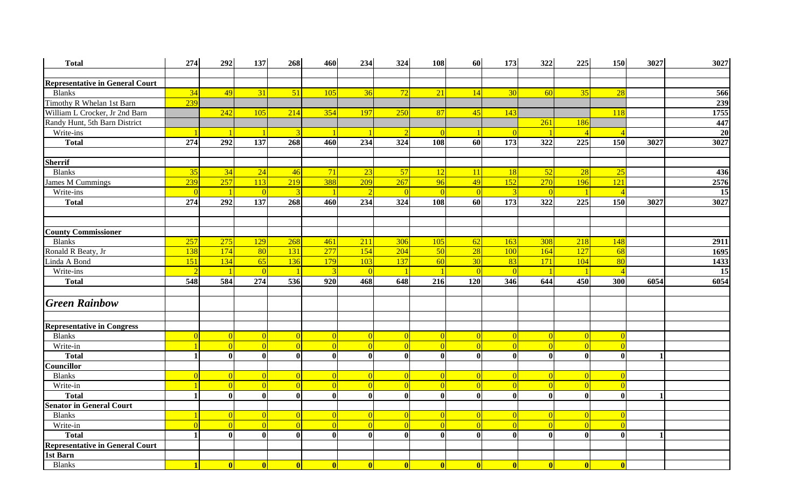| <b>Total</b>                           | 274             | 292              | 137              | 268             | 460             | 234             | 324              | 108             | 60              | 173          | 322             | 225                      | <b>150</b>   | 3027           | 3027 |
|----------------------------------------|-----------------|------------------|------------------|-----------------|-----------------|-----------------|------------------|-----------------|-----------------|--------------|-----------------|--------------------------|--------------|----------------|------|
|                                        |                 |                  |                  |                 |                 |                 |                  |                 |                 |              |                 |                          |              |                |      |
| <b>Representative in General Court</b> |                 |                  |                  |                 |                 |                 |                  |                 |                 |              |                 |                          |              |                |      |
| <b>Blanks</b>                          | $\overline{34}$ | 49               | 31               | 51              | 105             | 36              | 72               | $\boxed{21}$    | 14              | 30           | 60              | 35                       | 28           |                | 566  |
| Timothy R Whelan 1st Barn              | 239             |                  |                  |                 |                 |                 |                  |                 |                 |              |                 |                          |              |                | 239  |
| William L Crocker, Jr 2nd Barn         |                 | 242              | 105              | 214             | 354             | 197             | 250              | 87              | 45              | 143          |                 |                          | 118          |                | 1755 |
| Randy Hunt, 5th Barn District          |                 |                  |                  |                 |                 |                 |                  |                 |                 |              | 261             | 186                      |              |                | 447  |
| Write-ins                              |                 |                  |                  |                 |                 |                 | $\overline{2}$   | $\Omega$        |                 |              |                 | $\overline{\mathcal{A}}$ |              |                | 20   |
| <b>Total</b>                           | 274             | 292              | 137              | 268             | 460             | 234             | 324              | 108             | 60              | 173          | 322             | 225                      | 150          | 3027           | 3027 |
|                                        |                 |                  |                  |                 |                 |                 |                  |                 |                 |              |                 |                          |              |                |      |
| <b>Sherrif</b>                         |                 |                  |                  |                 |                 |                 |                  |                 |                 |              |                 |                          |              |                |      |
| <b>Blanks</b>                          | 35              | 34               | 24               | 46              | 71              | 23              | 57               | <b>12</b>       | <sup>11</sup>   | <b>18</b>    | 52              | 28                       | 25           |                | 436  |
| James M Cummings                       | 239             | 257              | 113              | 219             | 388             | 209             | 267              | 96              | 49              | 152          | 270             | 196                      | 121          |                | 2576 |
| Write-ins                              | $\Omega$        | $\vert$ 1        |                  |                 |                 | $\overline{2}$  | $\vert 0 \vert$  | $\Omega$        | $\Omega$        |              |                 |                          |              |                | 15   |
| <b>Total</b>                           | 274             | 292              | 137              | 268             | 460             | 234             | $\overline{324}$ | 108             | 60              | 173          | 322             | 225                      | 150          | 3027           | 3027 |
|                                        |                 |                  |                  |                 |                 |                 |                  |                 |                 |              |                 |                          |              |                |      |
|                                        |                 |                  |                  |                 |                 |                 |                  |                 |                 |              |                 |                          |              |                |      |
| <b>County Commissioner</b>             |                 |                  |                  |                 |                 |                 |                  |                 |                 |              |                 |                          |              |                |      |
| <b>Blanks</b>                          | 257             | 275              | 129              | 268             | 461             | 211             | 306              | 105             | 62              | 163          | 308             | 218                      | 148          |                | 2911 |
| Ronald R Beaty, Jr                     | 138             | 174              | 80               | 131             | 277             | 154             | 204              | 50              | 28              | 100          | 164             | 127                      | 68           |                | 1695 |
| Linda A Bond                           | 151             | 134              | 65               | 136             | 179             | 103             | 137              | 60              | 30 <sup>°</sup> | 83           | 171             | 104                      | 80           |                | 1433 |
| Write-ins                              | $\overline{2}$  |                  |                  |                 | <b>i</b>        | $\overline{0}$  |                  |                 | $\Omega$        |              |                 |                          |              |                | 15   |
| <b>Total</b>                           | 548             | 584              | 274              | 536             | 920             | 468             | 648              | 216             | 120             | 346          | 644             | 450                      | 300          | 6054           | 6054 |
|                                        |                 |                  |                  |                 |                 |                 |                  |                 |                 |              |                 |                          |              |                |      |
| <b>Green Rainbow</b>                   |                 |                  |                  |                 |                 |                 |                  |                 |                 |              |                 |                          |              |                |      |
|                                        |                 |                  |                  |                 |                 |                 |                  |                 |                 |              |                 |                          |              |                |      |
| <b>Representative in Congress</b>      |                 |                  |                  |                 |                 |                 |                  |                 |                 |              |                 |                          |              |                |      |
| <b>Blanks</b>                          | $\Omega$        | $\overline{0}$   | $\Omega$         | $\Omega$        | $\Omega$        | $\Omega$        | $\overline{0}$   | $\vert$ 0       | $\Omega$        | $\Omega$     | $\Omega$        | $\Omega$                 |              |                |      |
| Write-in                               | $\overline{1}$  | $\overline{0}$   | $\Omega$         | $\Omega$        | $\Omega$        | $\Omega$        | $\Omega$         | $\Omega$        | $\Omega$        |              |                 | $\Omega$                 |              |                |      |
| <b>Total</b>                           | $\mathbf{1}$    | $\boldsymbol{0}$ | $\boldsymbol{0}$ | $\mathbf{0}$    | $\bf{0}$        | $\bf{0}$        | $\boldsymbol{0}$ | $\bf{0}$        | $\mathbf{0}$    | $\mathbf{0}$ | - Ol            | $\mathbf{0}$             | $\bf{0}$     | -1             |      |
| <b>Councillor</b>                      |                 |                  |                  |                 |                 |                 |                  |                 |                 |              |                 |                          |              |                |      |
| <b>Blanks</b>                          | $\overline{0}$  | $\vert 0 \vert$  | $\Omega$         | $\Omega$        | $\Omega$        | $\Omega$        | $\vert 0 \vert$  | $\vert 0 \vert$ | $\Omega$        | $\Omega$     | $\Omega$        | $\Omega$                 |              |                |      |
| Write-in                               | $\blacksquare$  | $\overline{0}$   | $\Omega$         | $\Omega$        | $\Omega$        | $\Omega$        | $\Omega$         | $\Omega$        | $\Omega$        | $\Omega$     |                 | $\Omega$                 |              |                |      |
| <b>Total</b>                           | $\mathbf{1}$    | $\boldsymbol{0}$ | $\mathbf{0}$     | $\mathbf{0}$    | $\mathbf{0}$    | $\bf{0}$        | $\bf{0}$         | $\mathbf{0}$    | $\mathbf{0}$    | $\mathbf{0}$ | $\mathbf{0}$    | $\mathbf{0}$             | $\mathbf{0}$ | $\mathbf 1$    |      |
| <b>Senator in General Court</b>        |                 |                  |                  |                 |                 |                 |                  |                 |                 |              |                 |                          |              |                |      |
| <b>Blanks</b>                          |                 | $\vert 0 \vert$  | $\theta$         | $\vert 0 \vert$ | $\overline{0}$  | $\overline{0}$  | $\overline{0}$   | $\overline{0}$  | $\vert 0 \vert$ | $\Omega$     | $\vert 0 \vert$ | $\vert 0 \vert$          |              |                |      |
| Write-in                               | $\Omega$        | $\overline{0}$   | $\Omega$         | $\Omega$        | $\Omega$        | $\Omega$        | $\vert 0 \vert$  | $\vert 0 \vert$ | $\Omega$        |              |                 | $\Omega$                 |              |                |      |
| <b>Total</b>                           | $\blacksquare$  | $\mathbf{0}$     | $\mathbf{0}$     | $\mathbf{0}$    | $\mathbf{0}$    | $\mathbf{0}$    | $\bf{0}$         | $\mathbf{0}$    | $\mathbf{0}$    | $\mathbf{0}$ | - Ol            | $\mathbf{0}$             | $\mathbf{0}$ | $\blacksquare$ |      |
| <b>Representative in General Court</b> |                 |                  |                  |                 |                 |                 |                  |                 |                 |              |                 |                          |              |                |      |
| 1st Barn                               |                 |                  |                  |                 |                 |                 |                  |                 |                 |              |                 |                          |              |                |      |
| <b>Blanks</b>                          | $\blacksquare$  | $\vert$ 0        | $\mathbf{0}$     | 0               | $\vert 0 \vert$ | $\vert 0 \vert$ | 0                | $\vert 0 \vert$ | 0               | $\mathbf{0}$ | 0l              | 0                        |              |                |      |
|                                        |                 |                  |                  |                 |                 |                 |                  |                 |                 |              |                 |                          |              |                |      |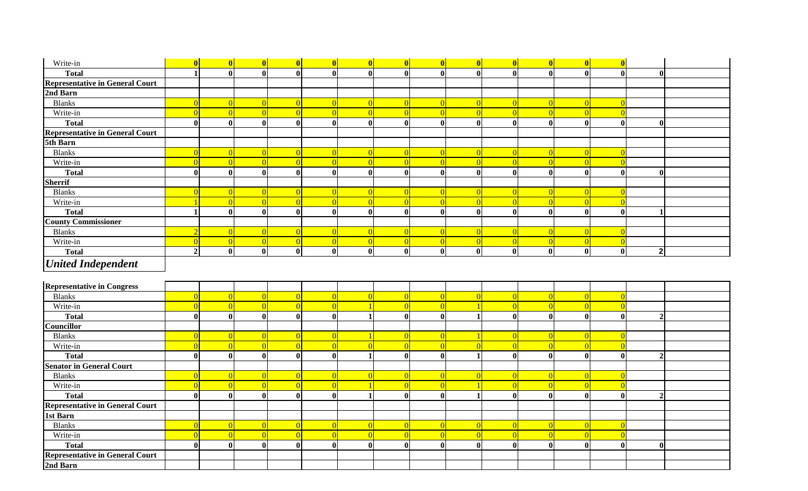| Write-in                               | $\overline{\mathbf{0}}$ | $\vert 0 \vert$         | $\vert 0 \vert$         | 0            | 0              | $\vert 0 \vert$  | $\mathbf{0}$   | 0                       | 0               | 0            | 0            | 0                | $\overline{\mathbf{0}}$ |                |  |
|----------------------------------------|-------------------------|-------------------------|-------------------------|--------------|----------------|------------------|----------------|-------------------------|-----------------|--------------|--------------|------------------|-------------------------|----------------|--|
| <b>Total</b>                           | $\blacksquare$          | $\bf{0}$                | $\overline{\mathbf{0}}$ | $\mathbf{0}$ | $\mathbf{0}$   | $\mathbf{0}$     | $\mathbf{0}$   | $\overline{\mathbf{0}}$ | $\bf{0}$        | $\mathbf{0}$ | $\mathbf{0}$ | $\mathbf{0}$     | $\overline{\mathbf{0}}$ | $\mathbf{0}$   |  |
| <b>Representative in General Court</b> |                         |                         |                         |              |                |                  |                |                         |                 |              |              |                  |                         |                |  |
| 2nd Barn                               |                         |                         |                         |              |                |                  |                |                         |                 |              |              |                  |                         |                |  |
| <b>Blanks</b>                          | $\Omega$                | $\vert 0 \vert$         | $\Omega$                |              | $\Omega$       | $\overline{0}$   | $\overline{0}$ | $\vert 0 \vert$         | $\vert 0 \vert$ | $\Omega$     | $\Omega$     | $\Omega$         | $\Omega$                |                |  |
| Write-in                               | $\overline{0}$          | $\overline{0}$          | $\Omega$                | $\Omega$     | $\Omega$       | $\overline{0}$   | $\Omega$       | $\Omega$                | $\overline{0}$  | $\Omega$     | $\Omega$     | $\Omega$         | $\Omega$                |                |  |
| <b>Total</b>                           | $\mathbf{0}$            | $\boldsymbol{0}$        | $\mathbf{0}$            | $\mathbf{0}$ | $\mathbf{0}$   | $\mathbf{0}$     | $\mathbf{0}$   | $\mathbf{0}$            | $\mathbf{0}$    | $\mathbf{0}$ | $\mathbf{0}$ | $\mathbf{0}$     | $\mathbf{0}$            | $\mathbf{0}$   |  |
| <b>Representative in General Court</b> |                         |                         |                         |              |                |                  |                |                         |                 |              |              |                  |                         |                |  |
| 5th Barn                               |                         |                         |                         |              |                |                  |                |                         |                 |              |              |                  |                         |                |  |
| <b>Blanks</b>                          | $\Omega$                | $\vert 0 \vert$         | $\Omega$                | $\Omega$     | $\Omega$       | $\overline{0}$   | $\overline{0}$ | $\vert 0 \vert$         | $\vert 0 \vert$ | $\Omega$     | $\Omega$     | $\Omega$         | $\Omega$                |                |  |
| Write-in                               | $\overline{0}$          | $\overline{0}$          | $\overline{0}$          | $\Omega$     | $\overline{0}$ | $\overline{0}$   | $\overline{0}$ | $\Omega$                | $\Omega$        | $\Omega$     |              |                  | $\Omega$                |                |  |
| <b>Total</b>                           | $\mathbf{0}$            | $\boldsymbol{0}$        | $\overline{\mathbf{0}}$ | $\Omega$     | $\mathbf{0}$   | $\mathbf{0}$     | $\bf{0}$       | $\bf{0}$                | $\bf{0}$        | $\mathbf{0}$ | $\mathbf{0}$ | $\mathbf{0}$     | $\bf{0}$                | $\mathbf{0}$   |  |
| <b>Sherrif</b>                         |                         |                         |                         |              |                |                  |                |                         |                 |              |              |                  |                         |                |  |
| <b>Blanks</b>                          | $\sqrt{ }$              | $\vert 0 \vert$         | $\Omega$                |              | $\Omega$       | $\Omega$         | $\overline{0}$ | $\vert 0 \vert$         | $\Omega$        | $\Omega$     |              |                  | $\Omega$                |                |  |
| Write-in                               |                         | $\overline{0}$          | $\overline{0}$          | $\Omega$     | $\Omega$       | $\Omega$         | $\overline{0}$ | $\overline{0}$          | $\Omega$        | $\Omega$     | $\Omega$     |                  | $\Omega$                |                |  |
| <b>Total</b>                           | $\blacksquare$          | $\boldsymbol{0}$        | $\bf{0}$                | $\mathbf{0}$ | $\mathbf{0}$   | $\mathbf{0}$     | $\bf{0}$       | $\bf{0}$                | $\mathbf{0}$    | $\mathbf{0}$ | $\mathbf{0}$ | $\mathbf{0}$     | $\bf{0}$                |                |  |
| <b>County Commissioner</b>             |                         |                         |                         |              |                |                  |                |                         |                 |              |              |                  |                         |                |  |
| <b>Blanks</b>                          | ി                       | $\vert 0 \vert$         | $\Omega$                |              | $\Omega$       | $\Omega$         | $\Omega$       | $\Omega$                | $\Omega$        | $\Omega$     | $\Omega$     | $\Omega$         | $\Omega$                |                |  |
| Write-in                               | $\sqrt{ }$              | $\overline{0}$          | $\overline{0}$          |              | $\overline{0}$ | $\overline{0}$   | $\overline{0}$ | $\overline{0}$          | $\overline{0}$  | $\Omega$     | $\Omega$     | $\Omega$         | $\overline{0}$          |                |  |
| <b>Total</b>                           | $\overline{2}$          | $\overline{\mathbf{0}}$ | $\overline{\mathbf{0}}$ | $\mathbf{0}$ | $\mathbf{0}$   | $\boldsymbol{0}$ | $\bf{0}$       | $\overline{\mathbf{0}}$ | $\bf{0}$        | $\bf{0}$     | $\mathbf{0}$ | $\boldsymbol{0}$ | $\overline{\mathbf{0}}$ | 2 <sup>1</sup> |  |
| <b>United Independent</b>              |                         |                         |                         |              |                |                  |                |                         |                 |              |              |                  |                         |                |  |
| <b>Representative in Congress</b>      |                         |                         |                         |              |                |                  |                |                         |                 |              |              |                  |                         |                |  |
| <b>Blanks</b>                          | $\Omega$                | $\vert 0 \vert$         | $\Omega$                |              | $\Omega$       | $\Omega$         | $\Omega$       | $\vert 0 \vert$         | $\Omega$        | $\Omega$     | $\Omega$     | $\Omega$         | $\overline{0}$          |                |  |
| Write-in                               | $\Omega$                | $\overline{0}$          | $\overline{0}$          | $\Omega$     | $\Omega$       |                  | $\overline{0}$ | $\Omega$                |                 | $\Omega$     | $\Omega$     | $\Omega$         | $\overline{0}$          |                |  |
| <b>Total</b>                           | $\mathbf{0}$            | $\boldsymbol{0}$        | $\bf{0}$                | $\Omega$     | $\mathbf{0}$   |                  | $\bf{0}$       | $\bf{0}$                |                 | $\mathbf{0}$ | $\mathbf{0}$ | $\mathbf{0}$     | $\bf{0}$                | $\overline{2}$ |  |
| Councillor                             |                         |                         |                         |              |                |                  |                |                         |                 |              |              |                  |                         |                |  |
| <b>Blanks</b>                          | $\Omega$                | $\vert 0 \vert$         | $\Omega$                |              | $\Omega$       |                  | $\Omega$       | $\vert$ 0               |                 | $\Omega$     | $\Omega$     | $\Omega$         | $\Omega$                |                |  |
| Write-in                               | $\Omega$                | $\overline{0}$          | $\vert 0 \vert$         |              | $\Omega$       | $\Omega$         | $\overline{0}$ | $\overline{0}$          | $\Omega$        | $\Omega$     | $\Omega$     | $\Omega$         | $\Omega$                |                |  |
| <b>Total</b>                           | $\bf{0}$                | $\bf{0}$                | $\overline{\mathbf{0}}$ | $\mathbf{0}$ | $\mathbf{0}$   |                  | $\bf{0}$       | $\boldsymbol{0}$        |                 | $\bf{0}$     | $\mathbf{0}$ | $\bf{0}$         | $\bf{0}$                | $\overline{2}$ |  |
| <b>Senator in General Court</b>        |                         |                         |                         |              |                |                  |                |                         |                 |              |              |                  |                         |                |  |
| <b>Blanks</b>                          | $\Omega$                | $\vert 0 \vert$         | $\overline{0}$          |              | $\Omega$       | $\overline{0}$   | $\overline{0}$ | $\vert 0 \vert$         | $\vert$ 0       | $\Omega$     | $\Omega$     | $\Omega$         | $\overline{0}$          |                |  |
| Write-in                               | $\bigcap$               | $\vert 0 \vert$         | $\Omega$                |              | $\Omega$       |                  | $\Omega$       | $\Omega$                |                 | $\Omega$     | $\Omega$     |                  | $\Omega$                |                |  |
| <b>Total</b>                           | $\bf{0}$                | $\boldsymbol{0}$        | $\mathbf{0}$            | $\mathbf{0}$ | $\mathbf{0}$   |                  | $\bf{0}$       | $\bf{0}$                | $\mathbf{1}$    | $\mathbf{0}$ | $\mathbf{0}$ | $\mathbf{0}$     | $\bf{0}$                | $\overline{2}$ |  |
| <b>Representative in General Court</b> |                         |                         |                         |              |                |                  |                |                         |                 |              |              |                  |                         |                |  |
| 1st Barn                               |                         |                         |                         |              |                |                  |                |                         |                 |              |              |                  |                         |                |  |
| <b>Blanks</b>                          | $\Omega$                | $\vert 0 \vert$         | $\Omega$                | $\Omega$     | $\Omega$       | $\Omega$         | $\overline{0}$ | $\vert 0 \vert$         | $\vert 0 \vert$ | $\Omega$     | $\Omega$     | $\Omega$         | $\Omega$                |                |  |
| Write-in                               | $\Omega$                | $\vert 0 \vert$         | $\Omega$                |              | $\Omega$       | $\Omega$         | $\Omega$       | $\vert 0 \vert$         | $\Omega$        | $\Omega$     | $\Omega$     |                  | $\Omega$                |                |  |
| <b>Total</b>                           | $\mathbf{0}$            | $\boldsymbol{0}$        | $\boldsymbol{0}$        | 0            | $\mathbf{0}$   | $\mathbf{0}$     | $\bf{0}$       | $\bf{0}$                | $\bf{0}$        | $\bf{0}$     | $\mathbf{0}$ | $\mathbf{0}$     | $\bf{0}$                | $\bf{0}$       |  |
| <b>Representative in General Court</b> |                         |                         |                         |              |                |                  |                |                         |                 |              |              |                  |                         |                |  |
| 2nd Barn                               |                         |                         |                         |              |                |                  |                |                         |                 |              |              |                  |                         |                |  |